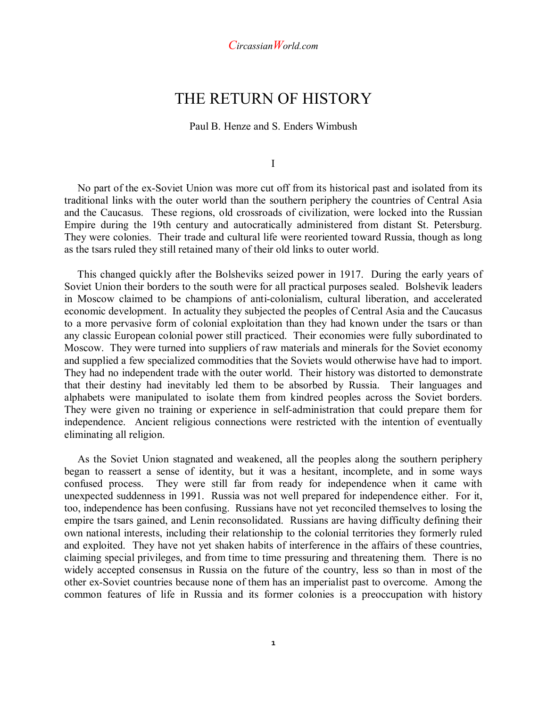# THE RETURN OF HISTORY

Paul B. Henze and S. Enders Wimbush

I

 No part of the ex-Soviet Union was more cut off from its historical past and isolated from its traditional links with the outer world than the southern periphery the countries of Central Asia and the Caucasus. These regions, old crossroads of civilization, were locked into the Russian Empire during the 19th century and autocratically administered from distant St. Petersburg. They were colonies. Their trade and cultural life were reoriented toward Russia, though as long as the tsars ruled they still retained many of their old links to outer world.

 This changed quickly after the Bolsheviks seized power in 1917. During the early years of Soviet Union their borders to the south were for all practical purposes sealed. Bolshevik leaders in Moscow claimed to be champions of anti-colonialism, cultural liberation, and accelerated economic development. In actuality they subjected the peoples of Central Asia and the Caucasus to a more pervasive form of colonial exploitation than they had known under the tsars or than any classic European colonial power still practiced. Their economies were fully subordinated to Moscow. They were turned into suppliers of raw materials and minerals for the Soviet economy and supplied a few specialized commodities that the Soviets would otherwise have had to import. They had no independent trade with the outer world. Their history was distorted to demonstrate that their destiny had inevitably led them to be absorbed by Russia. Their languages and alphabets were manipulated to isolate them from kindred peoples across the Soviet borders. They were given no training or experience in self-administration that could prepare them for independence. Ancient religious connections were restricted with the intention of eventually eliminating all religion.

 As the Soviet Union stagnated and weakened, all the peoples along the southern periphery began to reassert a sense of identity, but it was a hesitant, incomplete, and in some ways confused process. They were still far from ready for independence when it came with unexpected suddenness in 1991. Russia was not well prepared for independence either. For it, too, independence has been confusing. Russians have not yet reconciled themselves to losing the empire the tsars gained, and Lenin reconsolidated. Russians are having difficulty defining their own national interests, including their relationship to the colonial territories they formerly ruled and exploited. They have not yet shaken habits of interference in the affairs of these countries, claiming special privileges, and from time to time pressuring and threatening them. There is no widely accepted consensus in Russia on the future of the country, less so than in most of the other ex-Soviet countries because none of them has an imperialist past to overcome. Among the common features of life in Russia and its former colonies is a preoccupation with history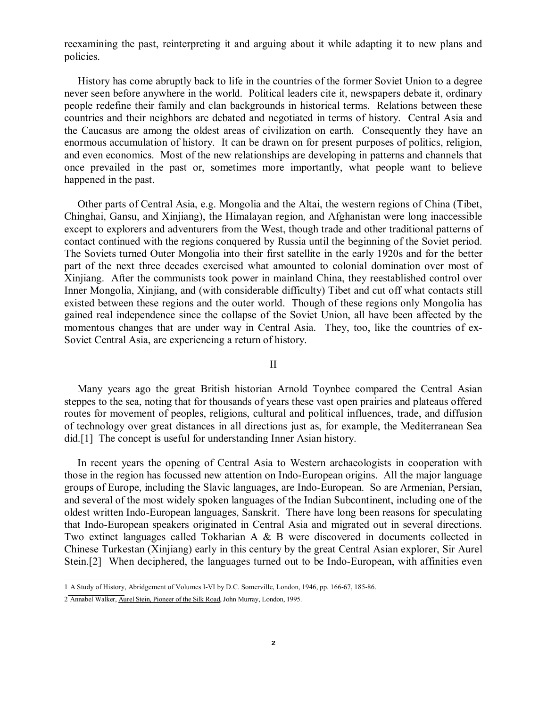reexamining the past, reinterpreting it and arguing about it while adapting it to new plans and policies.

 History has come abruptly back to life in the countries of the former Soviet Union to a degree never seen before anywhere in the world. Political leaders cite it, newspapers debate it, ordinary people redefine their family and clan backgrounds in historical terms. Relations between these countries and their neighbors are debated and negotiated in terms of history. Central Asia and the Caucasus are among the oldest areas of civilization on earth. Consequently they have an enormous accumulation of history. It can be drawn on for present purposes of politics, religion, and even economics. Most of the new relationships are developing in patterns and channels that once prevailed in the past or, sometimes more importantly, what people want to believe happened in the past.

 Other parts of Central Asia, e.g. Mongolia and the Altai, the western regions of China (Tibet, Chinghai, Gansu, and Xinjiang), the Himalayan region, and Afghanistan were long inaccessible except to explorers and adventurers from the West, though trade and other traditional patterns of contact continued with the regions conquered by Russia until the beginning of the Soviet period. The Soviets turned Outer Mongolia into their first satellite in the early 1920s and for the better part of the next three decades exercised what amounted to colonial domination over most of Xinjiang. After the communists took power in mainland China, they reestablished control over Inner Mongolia, Xinjiang, and (with considerable difficulty) Tibet and cut off what contacts still existed between these regions and the outer world. Though of these regions only Mongolia has gained real independence since the collapse of the Soviet Union, all have been affected by the momentous changes that are under way in Central Asia. They, too, like the countries of ex-Soviet Central Asia, are experiencing a return of history.

## II

 Many years ago the great British historian Arnold Toynbee compared the Central Asian steppes to the sea, noting that for thousands of years these vast open prairies and plateaus offered routes for movement of peoples, religions, cultural and political influences, trade, and diffusion of technology over great distances in all directions just as, for example, the Mediterranean Sea did.[1] The concept is useful for understanding Inner Asian history.

 In recent years the opening of Central Asia to Western archaeologists in cooperation with those in the region has focussed new attention on Indo-European origins. All the major language groups of Europe, including the Slavic languages, are Indo-European. So are Armenian, Persian, and several of the most widely spoken languages of the Indian Subcontinent, including one of the oldest written Indo-European languages, Sanskrit. There have long been reasons for speculating that Indo-European speakers originated in Central Asia and migrated out in several directions. Two extinct languages called Tokharian A & B were discovered in documents collected in Chinese Turkestan (Xinjiang) early in this century by the great Central Asian explorer, Sir Aurel Stein.[2] When deciphered, the languages turned out to be Indo-European, with affinities even

 1 A Study of History, Abridgement of Volumes I-VI by D.C. Somerville, London, 1946, pp. 166-67, 185-86.

<sup>2</sup> Annabel Walker, Aurel Stein, Pioneer of the Silk Road, John Murray, London, 1995.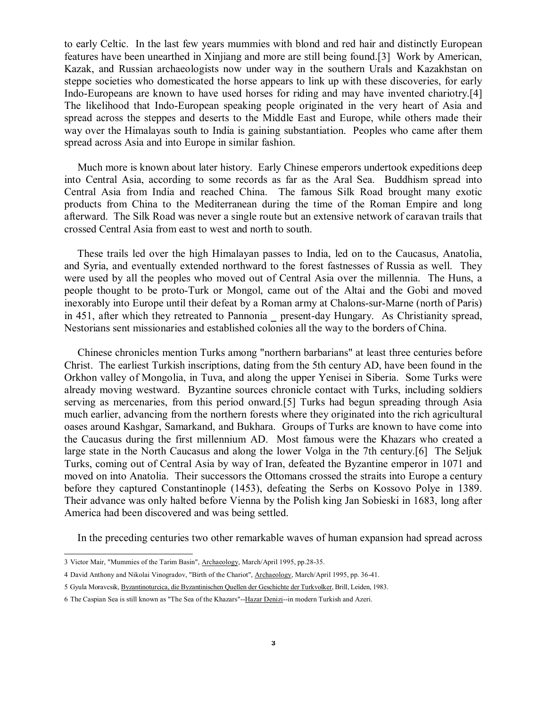to early Celtic. In the last few years mummies with blond and red hair and distinctly European features have been unearthed in Xinjiang and more are still being found.[3] Work by American, Kazak, and Russian archaeologists now under way in the southern Urals and Kazakhstan on steppe societies who domesticated the horse appears to link up with these discoveries, for early Indo-Europeans are known to have used horses for riding and may have invented chariotry.[4] The likelihood that Indo-European speaking people originated in the very heart of Asia and spread across the steppes and deserts to the Middle East and Europe, while others made their way over the Himalayas south to India is gaining substantiation. Peoples who came after them spread across Asia and into Europe in similar fashion.

 Much more is known about later history. Early Chinese emperors undertook expeditions deep into Central Asia, according to some records as far as the Aral Sea. Buddhism spread into Central Asia from India and reached China. The famous Silk Road brought many exotic products from China to the Mediterranean during the time of the Roman Empire and long afterward. The Silk Road was never a single route but an extensive network of caravan trails that crossed Central Asia from east to west and north to south.

 These trails led over the high Himalayan passes to India, led on to the Caucasus, Anatolia, and Syria, and eventually extended northward to the forest fastnesses of Russia as well. They were used by all the peoples who moved out of Central Asia over the millennia. The Huns, a people thought to be proto-Turk or Mongol, came out of the Altai and the Gobi and moved inexorably into Europe until their defeat by a Roman army at Chalons-sur-Marne (north of Paris) in 451, after which they retreated to Pannonia present-day Hungary. As Christianity spread, Nestorians sent missionaries and established colonies all the way to the borders of China.

 Chinese chronicles mention Turks among "northern barbarians" at least three centuries before Christ. The earliest Turkish inscriptions, dating from the 5th century AD, have been found in the Orkhon valley of Mongolia, in Tuva, and along the upper Yenisei in Siberia. Some Turks were already moving westward. Byzantine sources chronicle contact with Turks, including soldiers serving as mercenaries, from this period onward.[5] Turks had begun spreading through Asia much earlier, advancing from the northern forests where they originated into the rich agricultural oases around Kashgar, Samarkand, and Bukhara. Groups of Turks are known to have come into the Caucasus during the first millennium AD. Most famous were the Khazars who created a large state in the North Caucasus and along the lower Volga in the 7th century.[6] The Seljuk Turks, coming out of Central Asia by way of Iran, defeated the Byzantine emperor in 1071 and moved on into Anatolia. Their successors the Ottomans crossed the straits into Europe a century before they captured Constantinople (1453), defeating the Serbs on Kossovo Polye in 1389. Their advance was only halted before Vienna by the Polish king Jan Sobieski in 1683, long after America had been discovered and was being settled.

In the preceding centuries two other remarkable waves of human expansion had spread across

 3 Victor Mair, "Mummies of the Tarim Basin", Archaeology, March/April 1995, pp.28-35.

<sup>4</sup> David Anthony and Nikolai Vinogradov, "Birth of the Chariot", Archaeology, March/April 1995, pp. 36-41.

<sup>5</sup> Gyula Moravcsik, Byzantinoturcica, die Byzantinischen Quellen der Geschichte der Turkvolker, Brill, Leiden, 1983.

<sup>6</sup> The Caspian Sea is still known as "The Sea of the Khazars"--Hazar Denizi--in modern Turkish and Azeri.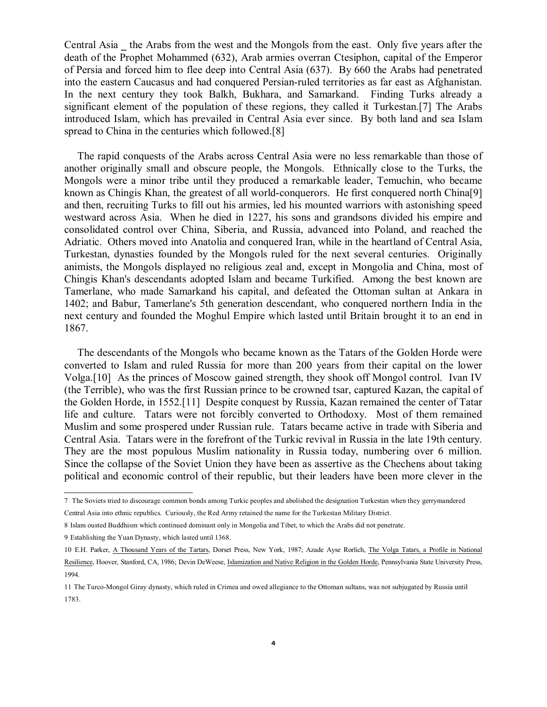Central Asia \_ the Arabs from the west and the Mongols from the east. Only five years after the death of the Prophet Mohammed (632), Arab armies overran Ctesiphon, capital of the Emperor of Persia and forced him to flee deep into Central Asia (637). By 660 the Arabs had penetrated into the eastern Caucasus and had conquered Persian-ruled territories as far east as Afghanistan. In the next century they took Balkh, Bukhara, and Samarkand. Finding Turks already a significant element of the population of these regions, they called it Turkestan.[7] The Arabs introduced Islam, which has prevailed in Central Asia ever since. By both land and sea Islam spread to China in the centuries which followed.[8]

 The rapid conquests of the Arabs across Central Asia were no less remarkable than those of another originally small and obscure people, the Mongols. Ethnically close to the Turks, the Mongols were a minor tribe until they produced a remarkable leader, Temuchin, who became known as Chingis Khan, the greatest of all world-conquerors. He first conquered north China[9] and then, recruiting Turks to fill out his armies, led his mounted warriors with astonishing speed westward across Asia. When he died in 1227, his sons and grandsons divided his empire and consolidated control over China, Siberia, and Russia, advanced into Poland, and reached the Adriatic. Others moved into Anatolia and conquered Iran, while in the heartland of Central Asia, Turkestan, dynasties founded by the Mongols ruled for the next several centuries. Originally animists, the Mongols displayed no religious zeal and, except in Mongolia and China, most of Chingis Khan's descendants adopted Islam and became Turkified. Among the best known are Tamerlane, who made Samarkand his capital, and defeated the Ottoman sultan at Ankara in 1402; and Babur, Tamerlane's 5th generation descendant, who conquered northern India in the next century and founded the Moghul Empire which lasted until Britain brought it to an end in 1867.

 The descendants of the Mongols who became known as the Tatars of the Golden Horde were converted to Islam and ruled Russia for more than 200 years from their capital on the lower Volga.[10] As the princes of Moscow gained strength, they shook off Mongol control. Ivan IV (the Terrible), who was the first Russian prince to be crowned tsar, captured Kazan, the capital of the Golden Horde, in 1552.[11] Despite conquest by Russia, Kazan remained the center of Tatar life and culture. Tatars were not forcibly converted to Orthodoxy. Most of them remained Muslim and some prospered under Russian rule. Tatars became active in trade with Siberia and Central Asia. Tatars were in the forefront of the Turkic revival in Russia in the late 19th century. They are the most populous Muslim nationality in Russia today, numbering over 6 million. Since the collapse of the Soviet Union they have been as assertive as the Chechens about taking political and economic control of their republic, but their leaders have been more clever in the

9 Establishing the Yuan Dynasty, which lasted until 1368.

 7 The Soviets tried to discourage common bonds among Turkic peoples and abolished the designation Turkestan when they gerrymandered

Central Asia into ethnic republics. Curiously, the Red Army retained the name for the Turkestan Military District.

<sup>8</sup> Islam ousted Buddhism which continued dominant only in Mongolia and Tibet, to which the Arabs did not penetrate.

<sup>10</sup> E.H. Parker, A Thousand Years of the Tartars, Dorset Press, New York, 1987; Azade Ayse Rorlich, The Volga Tatars, a Profile in National Resilience, Hoover, Stanford, CA, 1986; Devin DeWeese, Islamization and Native Religion in the Golden Horde, Pennsylvania State University Press, 1994.

<sup>11</sup> The Turco-Mongol Giray dynasty, which ruled in Crimea and owed allegiance to the Ottoman sultans, was not subjugated by Russia until 1783.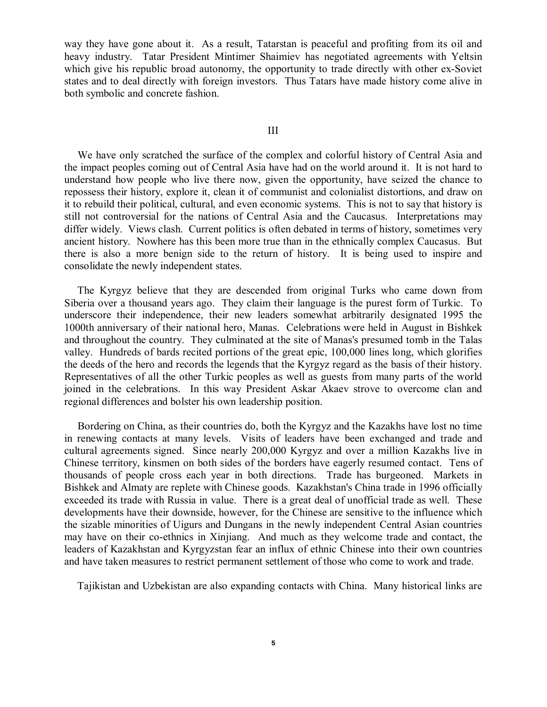way they have gone about it. As a result, Tatarstan is peaceful and profiting from its oil and heavy industry. Tatar President Mintimer Shaimiev has negotiated agreements with Yeltsin which give his republic broad autonomy, the opportunity to trade directly with other ex-Soviet states and to deal directly with foreign investors. Thus Tatars have made history come alive in both symbolic and concrete fashion.

#### III

 We have only scratched the surface of the complex and colorful history of Central Asia and the impact peoples coming out of Central Asia have had on the world around it. It is not hard to understand how people who live there now, given the opportunity, have seized the chance to repossess their history, explore it, clean it of communist and colonialist distortions, and draw on it to rebuild their political, cultural, and even economic systems. This is not to say that history is still not controversial for the nations of Central Asia and the Caucasus. Interpretations may differ widely. Views clash. Current politics is often debated in terms of history, sometimes very ancient history. Nowhere has this been more true than in the ethnically complex Caucasus. But there is also a more benign side to the return of history. It is being used to inspire and consolidate the newly independent states.

 The Kyrgyz believe that they are descended from original Turks who came down from Siberia over a thousand years ago. They claim their language is the purest form of Turkic. To underscore their independence, their new leaders somewhat arbitrarily designated 1995 the 1000th anniversary of their national hero, Manas. Celebrations were held in August in Bishkek and throughout the country. They culminated at the site of Manas's presumed tomb in the Talas valley. Hundreds of bards recited portions of the great epic, 100,000 lines long, which glorifies the deeds of the hero and records the legends that the Kyrgyz regard as the basis of their history. Representatives of all the other Turkic peoples as well as guests from many parts of the world joined in the celebrations. In this way President Askar Akaev strove to overcome clan and regional differences and bolster his own leadership position.

 Bordering on China, as their countries do, both the Kyrgyz and the Kazakhs have lost no time in renewing contacts at many levels. Visits of leaders have been exchanged and trade and cultural agreements signed. Since nearly 200,000 Kyrgyz and over a million Kazakhs live in Chinese territory, kinsmen on both sides of the borders have eagerly resumed contact. Tens of thousands of people cross each year in both directions. Trade has burgeoned. Markets in Bishkek and Almaty are replete with Chinese goods. Kazakhstan's China trade in 1996 officially exceeded its trade with Russia in value. There is a great deal of unofficial trade as well. These developments have their downside, however, for the Chinese are sensitive to the influence which the sizable minorities of Uigurs and Dungans in the newly independent Central Asian countries may have on their co-ethnics in Xinjiang. And much as they welcome trade and contact, the leaders of Kazakhstan and Kyrgyzstan fear an influx of ethnic Chinese into their own countries and have taken measures to restrict permanent settlement of those who come to work and trade.

Tajikistan and Uzbekistan are also expanding contacts with China. Many historical links are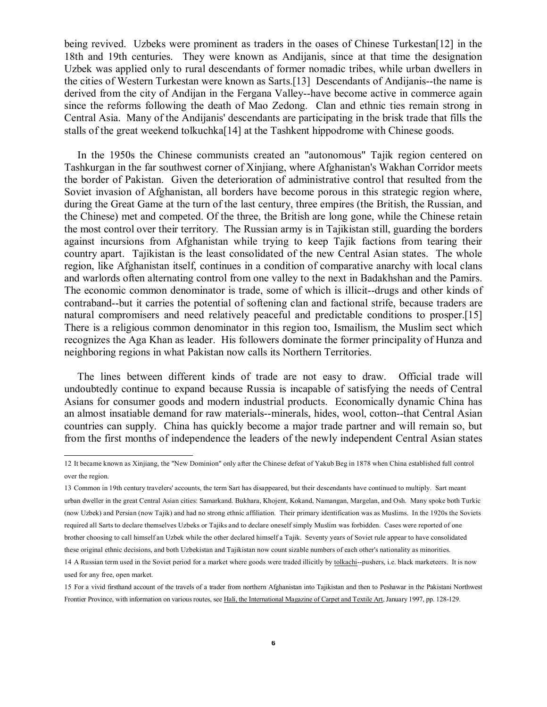being revived. Uzbeks were prominent as traders in the oases of Chinese Turkestan<sup>[12]</sup> in the 18th and 19th centuries. They were known as Andijanis, since at that time the designation Uzbek was applied only to rural descendants of former nomadic tribes, while urban dwellers in the cities of Western Turkestan were known as Sarts.[13] Descendants of Andijanis--the name is derived from the city of Andijan in the Fergana Valley--have become active in commerce again since the reforms following the death of Mao Zedong. Clan and ethnic ties remain strong in Central Asia. Many of the Andijanis' descendants are participating in the brisk trade that fills the stalls of the great weekend tolkuchka[14] at the Tashkent hippodrome with Chinese goods.

 In the 1950s the Chinese communists created an "autonomous" Tajik region centered on Tashkurgan in the far southwest corner of Xinjiang, where Afghanistan's Wakhan Corridor meets the border of Pakistan. Given the deterioration of administrative control that resulted from the Soviet invasion of Afghanistan, all borders have become porous in this strategic region where, during the Great Game at the turn of the last century, three empires (the British, the Russian, and the Chinese) met and competed. Of the three, the British are long gone, while the Chinese retain the most control over their territory. The Russian army is in Tajikistan still, guarding the borders against incursions from Afghanistan while trying to keep Tajik factions from tearing their country apart. Tajikistan is the least consolidated of the new Central Asian states. The whole region, like Afghanistan itself, continues in a condition of comparative anarchy with local clans and warlords often alternating control from one valley to the next in Badakhshan and the Pamirs. The economic common denominator is trade, some of which is illicit--drugs and other kinds of contraband--but it carries the potential of softening clan and factional strife, because traders are natural compromisers and need relatively peaceful and predictable conditions to prosper.[15] There is a religious common denominator in this region too, Ismailism, the Muslim sect which recognizes the Aga Khan as leader. His followers dominate the former principality of Hunza and neighboring regions in what Pakistan now calls its Northern Territories.

 The lines between different kinds of trade are not easy to draw. Official trade will undoubtedly continue to expand because Russia is incapable of satisfying the needs of Central Asians for consumer goods and modern industrial products. Economically dynamic China has an almost insatiable demand for raw materials--minerals, hides, wool, cotton--that Central Asian countries can supply. China has quickly become a major trade partner and will remain so, but from the first months of independence the leaders of the newly independent Central Asian states

 12 It became known as Xinjiang, the "New Dominion" only after the Chinese defeat of Yakub Beg in 1878 when China established full control over the region.

<sup>13</sup> Common in 19th century travelers' accounts, the term Sart has disappeared, but their descendants have continued to multiply. Sart meant urban dweller in the great Central Asian cities: Samarkand. Bukhara, Khojent, Kokand, Namangan, Margelan, and Osh. Many spoke both Turkic (now Uzbek) and Persian (now Tajik) and had no strong ethnic affiliation. Their primary identification was as Muslims. In the 1920s the Soviets required all Sarts to declare themselves Uzbeks or Tajiks and to declare oneself simply Muslim was forbidden. Cases were reported of one brother choosing to call himself an Uzbek while the other declared himself a Tajik. Seventy years of Soviet rule appear to have consolidated these original ethnic decisions, and both Uzbekistan and Tajikistan now count sizable numbers of each other's nationality as minorities.

<sup>14</sup> A Russian term used in the Soviet period for a market where goods were traded illicitly by tolkachi--pushers, i.e. black marketeers. It is now used for any free, open market.

<sup>15</sup> For a vivid firsthand account of the travels of a trader from northern Afghanistan into Tajikistan and then to Peshawar in the Pakistani Northwest Frontier Province, with information on various routes, see Hali, the International Magazine of Carpet and Textile Art, January 1997, pp. 128-129.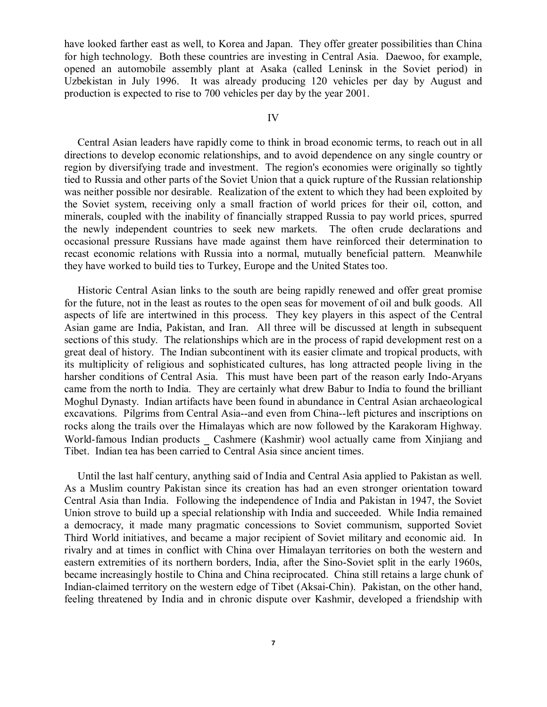have looked farther east as well, to Korea and Japan. They offer greater possibilities than China for high technology. Both these countries are investing in Central Asia. Daewoo, for example, opened an automobile assembly plant at Asaka (called Leninsk in the Soviet period) in Uzbekistan in July 1996. It was already producing 120 vehicles per day by August and production is expected to rise to 700 vehicles per day by the year 2001.

### IV

 Central Asian leaders have rapidly come to think in broad economic terms, to reach out in all directions to develop economic relationships, and to avoid dependence on any single country or region by diversifying trade and investment. The region's economies were originally so tightly tied to Russia and other parts of the Soviet Union that a quick rupture of the Russian relationship was neither possible nor desirable. Realization of the extent to which they had been exploited by the Soviet system, receiving only a small fraction of world prices for their oil, cotton, and minerals, coupled with the inability of financially strapped Russia to pay world prices, spurred the newly independent countries to seek new markets. The often crude declarations and occasional pressure Russians have made against them have reinforced their determination to recast economic relations with Russia into a normal, mutually beneficial pattern. Meanwhile they have worked to build ties to Turkey, Europe and the United States too.

 Historic Central Asian links to the south are being rapidly renewed and offer great promise for the future, not in the least as routes to the open seas for movement of oil and bulk goods. All aspects of life are intertwined in this process. They key players in this aspect of the Central Asian game are India, Pakistan, and Iran. All three will be discussed at length in subsequent sections of this study. The relationships which are in the process of rapid development rest on a great deal of history. The Indian subcontinent with its easier climate and tropical products, with its multiplicity of religious and sophisticated cultures, has long attracted people living in the harsher conditions of Central Asia. This must have been part of the reason early Indo-Aryans came from the north to India. They are certainly what drew Babur to India to found the brilliant Moghul Dynasty. Indian artifacts have been found in abundance in Central Asian archaeological excavations. Pilgrims from Central Asia--and even from China--left pictures and inscriptions on rocks along the trails over the Himalayas which are now followed by the Karakoram Highway. World-famous Indian products Cashmere (Kashmir) wool actually came from Xinjiang and Tibet. Indian tea has been carried to Central Asia since ancient times.

 Until the last half century, anything said of India and Central Asia applied to Pakistan as well. As a Muslim country Pakistan since its creation has had an even stronger orientation toward Central Asia than India. Following the independence of India and Pakistan in 1947, the Soviet Union strove to build up a special relationship with India and succeeded. While India remained a democracy, it made many pragmatic concessions to Soviet communism, supported Soviet Third World initiatives, and became a major recipient of Soviet military and economic aid. In rivalry and at times in conflict with China over Himalayan territories on both the western and eastern extremities of its northern borders, India, after the Sino-Soviet split in the early 1960s, became increasingly hostile to China and China reciprocated. China still retains a large chunk of Indian-claimed territory on the western edge of Tibet (Aksai-Chin). Pakistan, on the other hand, feeling threatened by India and in chronic dispute over Kashmir, developed a friendship with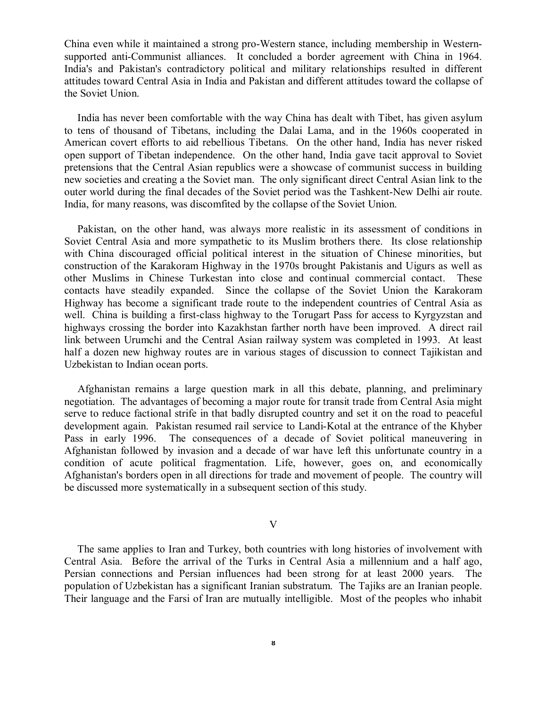China even while it maintained a strong pro-Western stance, including membership in Westernsupported anti-Communist alliances. It concluded a border agreement with China in 1964. India's and Pakistan's contradictory political and military relationships resulted in different attitudes toward Central Asia in India and Pakistan and different attitudes toward the collapse of the Soviet Union.

 India has never been comfortable with the way China has dealt with Tibet, has given asylum to tens of thousand of Tibetans, including the Dalai Lama, and in the 1960s cooperated in American covert efforts to aid rebellious Tibetans. On the other hand, India has never risked open support of Tibetan independence. On the other hand, India gave tacit approval to Soviet pretensions that the Central Asian republics were a showcase of communist success in building new societies and creating a the Soviet man. The only significant direct Central Asian link to the outer world during the final decades of the Soviet period was the Tashkent-New Delhi air route. India, for many reasons, was discomfited by the collapse of the Soviet Union.

 Pakistan, on the other hand, was always more realistic in its assessment of conditions in Soviet Central Asia and more sympathetic to its Muslim brothers there. Its close relationship with China discouraged official political interest in the situation of Chinese minorities, but construction of the Karakoram Highway in the 1970s brought Pakistanis and Uigurs as well as other Muslims in Chinese Turkestan into close and continual commercial contact. These contacts have steadily expanded. Since the collapse of the Soviet Union the Karakoram Highway has become a significant trade route to the independent countries of Central Asia as well. China is building a first-class highway to the Torugart Pass for access to Kyrgyzstan and highways crossing the border into Kazakhstan farther north have been improved. A direct rail link between Urumchi and the Central Asian railway system was completed in 1993. At least half a dozen new highway routes are in various stages of discussion to connect Tajikistan and Uzbekistan to Indian ocean ports.

 Afghanistan remains a large question mark in all this debate, planning, and preliminary negotiation. The advantages of becoming a major route for transit trade from Central Asia might serve to reduce factional strife in that badly disrupted country and set it on the road to peaceful development again. Pakistan resumed rail service to Landi-Kotal at the entrance of the Khyber Pass in early 1996. The consequences of a decade of Soviet political maneuvering in Afghanistan followed by invasion and a decade of war have left this unfortunate country in a condition of acute political fragmentation. Life, however, goes on, and economically Afghanistan's borders open in all directions for trade and movement of people. The country will be discussed more systematically in a subsequent section of this study.

## V

 The same applies to Iran and Turkey, both countries with long histories of involvement with Central Asia. Before the arrival of the Turks in Central Asia a millennium and a half ago, Persian connections and Persian influences had been strong for at least 2000 years. The population of Uzbekistan has a significant Iranian substratum. The Tajiks are an Iranian people. Their language and the Farsi of Iran are mutually intelligible. Most of the peoples who inhabit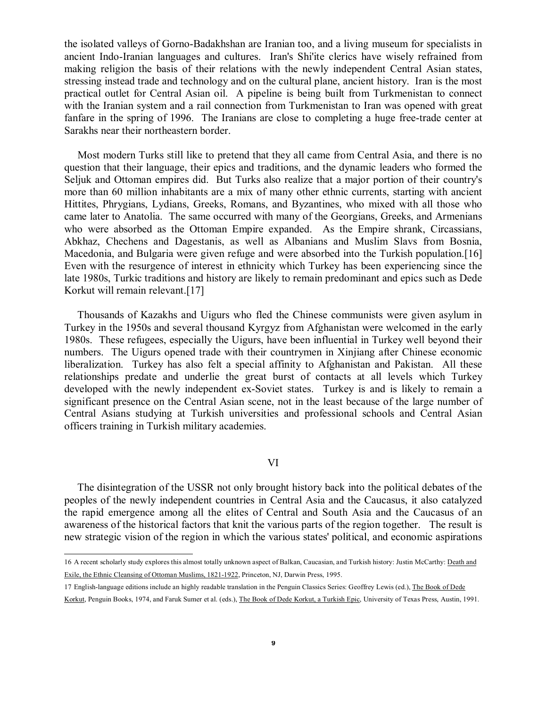the isolated valleys of Gorno-Badakhshan are Iranian too, and a living museum for specialists in ancient Indo-Iranian languages and cultures. Iran's Shi'ite clerics have wisely refrained from making religion the basis of their relations with the newly independent Central Asian states, stressing instead trade and technology and on the cultural plane, ancient history. Iran is the most practical outlet for Central Asian oil. A pipeline is being built from Turkmenistan to connect with the Iranian system and a rail connection from Turkmenistan to Iran was opened with great fanfare in the spring of 1996. The Iranians are close to completing a huge free-trade center at Sarakhs near their northeastern border.

 Most modern Turks still like to pretend that they all came from Central Asia, and there is no question that their language, their epics and traditions, and the dynamic leaders who formed the Seljuk and Ottoman empires did. But Turks also realize that a major portion of their country's more than 60 million inhabitants are a mix of many other ethnic currents, starting with ancient Hittites, Phrygians, Lydians, Greeks, Romans, and Byzantines, who mixed with all those who came later to Anatolia. The same occurred with many of the Georgians, Greeks, and Armenians who were absorbed as the Ottoman Empire expanded. As the Empire shrank, Circassians, Abkhaz, Chechens and Dagestanis, as well as Albanians and Muslim Slavs from Bosnia, Macedonia, and Bulgaria were given refuge and were absorbed into the Turkish population.[16] Even with the resurgence of interest in ethnicity which Turkey has been experiencing since the late 1980s, Turkic traditions and history are likely to remain predominant and epics such as Dede Korkut will remain relevant.[17]

 Thousands of Kazakhs and Uigurs who fled the Chinese communists were given asylum in Turkey in the 1950s and several thousand Kyrgyz from Afghanistan were welcomed in the early 1980s. These refugees, especially the Uigurs, have been influential in Turkey well beyond their numbers. The Uigurs opened trade with their countrymen in Xinjiang after Chinese economic liberalization. Turkey has also felt a special affinity to Afghanistan and Pakistan. All these relationships predate and underlie the great burst of contacts at all levels which Turkey developed with the newly independent ex-Soviet states. Turkey is and is likely to remain a significant presence on the Central Asian scene, not in the least because of the large number of Central Asians studying at Turkish universities and professional schools and Central Asian officers training in Turkish military academies.

## VI

 The disintegration of the USSR not only brought history back into the political debates of the peoples of the newly independent countries in Central Asia and the Caucasus, it also catalyzed the rapid emergence among all the elites of Central and South Asia and the Caucasus of an awareness of the historical factors that knit the various parts of the region together. The result is new strategic vision of the region in which the various states' political, and economic aspirations

<sup>16</sup> A recent scholarly study explores this almost totally unknown aspect of Balkan, Caucasian, and Turkish history: Justin McCarthy: Death and Exile, the Ethnic Cleansing of Ottoman Muslims, 1821-1922, Princeton, NJ, Darwin Press, 1995.

<sup>17</sup> English-language editions include an highly readable translation in the Penguin Classics Series: Geoffrey Lewis (ed.), The Book of Dede

Korkut, Penguin Books, 1974, and Faruk Sumer et al. (eds.), The Book of Dede Korkut, a Turkish Epic, University of Texas Press, Austin, 1991.